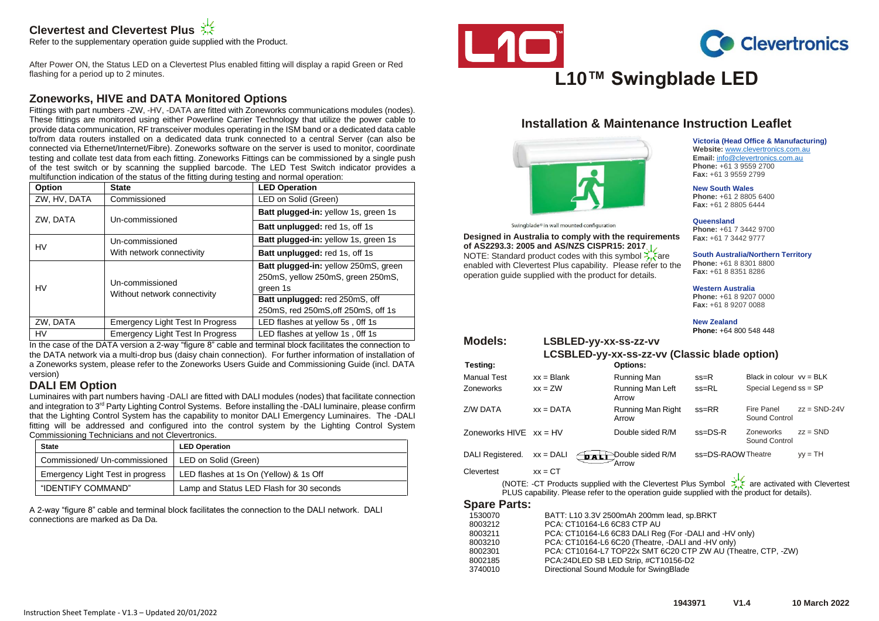# **Clevertest and Clevertest Plus**

Refer to the supplementary operation guide supplied with the Product.

After Power ON, the Status LED on a Clevertest Plus enabled fitting will display a rapid Green or Red flashing for a period up to 2 minutes.

### **Zoneworks, HIVE and DATA Monitored Options**

Fittings with part numbers -ZW, -HV, -DATA are fitted with Zoneworks communications modules (nodes). These fittings are monitored using either Powerline Carrier Technology that utilize the power cable to provide data communication, RF transceiver modules operating in the ISM band or a dedicated data cable to/from data routers installed on a dedicated data trunk connected to a central Server (can also be connected via Ethernet/Internet/Fibre). Zoneworks software on the server is used to monitor, coordinate testing and collate test data from each fitting. Zoneworks Fittings can be commissioned by a single push of the test switch or by scanning the supplied barcode. The LED Test Switch indicator provides a multifunction indication of the status of the fitting during testing and normal operation:

| Option       | <b>State</b>                                                                | <b>LED Operation</b>                                                                  |  |  |
|--------------|-----------------------------------------------------------------------------|---------------------------------------------------------------------------------------|--|--|
| ZW, HV, DATA | Commissioned<br>LED on Solid (Green)                                        |                                                                                       |  |  |
| ZW, DATA     | Un-commissioned                                                             | Batt plugged-in: yellow 1s, green 1s                                                  |  |  |
|              |                                                                             | Batt unplugged: red 1s, off 1s                                                        |  |  |
| <b>HV</b>    | Un-commissioned                                                             | Batt plugged-in: yellow 1s, green 1s                                                  |  |  |
|              | With network connectivity                                                   | Batt unplugged: red 1s, off 1s                                                        |  |  |
| HV           | Un-commissioned                                                             | Batt plugged-in: yellow 250mS, green<br>250mS, yellow 250mS, green 250mS,<br>green 1s |  |  |
|              | Without network connectivity                                                | Batt unplugged: red 250mS, off<br>250mS, red 250mS, off 250mS, off 1s                 |  |  |
| ZW, DATA     | <b>Emergency Light Test In Progress</b>                                     | LED flashes at yellow 5s, Off 1s                                                      |  |  |
| <b>HV</b>    | <b>Emergency Light Test In Progress</b><br>LED flashes at yellow 1s, Off 1s |                                                                                       |  |  |

In the case of the DATA version a 2-way "figure 8" cable and terminal block facilitates the connection to the DATA network via a multi-drop bus (daisy chain connection). For further information of installation of a Zoneworks system, please refer to the Zoneworks Users Guide and Commissioning Guide (incl. DATA version)

#### **DALI EM Option**

Luminaires with part numbers having -DALI are fitted with DALI modules (nodes) that facilitate connection and integration to 3<sup>rd</sup> Party Lighting Control Systems. Before installing the -DALI luminaire, please confirm that the Lighting Control System has the capability to monitor DALI Emergency Luminaires. The -DALI fitting will be addressed and configured into the control system by the Lighting Control System Commissioning Technicians and not Clevertronics.

| <b>State</b>                                         | <b>LED Operation</b>                     |  |  |
|------------------------------------------------------|------------------------------------------|--|--|
| Commissioned/ Un-commissioned   LED on Solid (Green) |                                          |  |  |
| Emergency Light Test in progress                     | LED flashes at 1s On (Yellow) & 1s Off   |  |  |
| "IDENTIFY COMMAND"                                   | Lamp and Status LED Flash for 30 seconds |  |  |

A 2-way "figure 8" cable and terminal block facilitates the connection to the DALI network. DALI connections are marked as Da Da.





**Victoria (Head Office & Manufacturing) Website:** [www.clevertronics.com.au](http://www.clevertronics.com.au/) **Email:** info@clevertronics.com.au **Phone:** +61 3 9559 2700 **Fax:** +61 3 9559 2799

# **L10™ Swingblade LED**

# **Installation & Maintenance Instruction Leaflet**



Swingblade® in wall mounted configuration

**Designed in Australia to comply with the requirements of AS2293.3: 2005 and AS/NZS CISPR15: 2017** NOTE: Standard product codes with this symbol  $\frac{1}{2}$  are

enabled with Clevertest Plus capability. Please refer to the operation guide supplied with the product for details.

**New South Wales Phone:** +61 2 8805 6400 **Fax:** +61 2 8805 6444

**Queensland Phone:** +61 7 3442 9700 **Fax:** +61 7 3442 9777

**South Australia/Northern Territory**

**Phone:** +61 8 8301 8800 **Fax:** +61 8 8351 8286

**Western Australia**

**Phone:** +61 8 9207 0000 **Fax:** +61 8 9207 0088

**New Zealand Phone:** +64 800 548 448

**Models: LSBLED-yy-xx-ss-zz-vv**

| LCSBLED-yy-xx-ss-zz-vv (Classic blade option)                                                |                    |                            |                   |                             |                |  |
|----------------------------------------------------------------------------------------------|--------------------|----------------------------|-------------------|-----------------------------|----------------|--|
| Testing:                                                                                     |                    | <b>Options:</b>            |                   |                             |                |  |
| <b>Manual Test</b>                                                                           | $xx = Blank$       | Running Man                | $ss=R$            | Black in colour $vv = BLK$  |                |  |
| Zoneworks                                                                                    | $xx = ZW$          | Running Man Left<br>Arrow  | $ss = RL$         | Special Legend ss = SP      |                |  |
| Z/W DATA                                                                                     | $xx = DATA$        | Running Man Right<br>Arrow | $ss = RR$         | Fire Panel<br>Sound Control | $zz =$ SND-24V |  |
| Zoneworks $HIVE$ $xx = HV$                                                                   |                    | Double sided R/M           | $ss = DS - R$     | Zoneworks<br>Sound Control  | $zz = SND$     |  |
| DALI Registered.                                                                             | $xx = DALI$<br>DAL | Double sided R/M<br>Arrow  | ss=DS-RAOWTheatre |                             | $vy = TH$      |  |
| Clevertest                                                                                   | $xx = CT$          |                            |                   |                             |                |  |
| are activated with Clevertes<br>(NOTE: CT Products supplied with the Clevertest Plus Symbol) |                    |                            |                   |                             |                |  |

(NOTE: -CT Products supplied with the Clevertest Plus Symbol  $\frac{1}{\sqrt{2}}$  are activated with Clevertest PLUS capability. Please refer to the operation guide supplied with the product for details).

#### **Spare Parts:**

| 1530070 | BATT: L10 3.3V 2500mAh 200mm lead, sp.BRKT                    |
|---------|---------------------------------------------------------------|
| 8003212 | PCA: CT10164-L6 6C83 CTP AU                                   |
| 8003211 | PCA: CT10164-L6 6C83 DALI Reg (For -DALI and -HV only)        |
| 8003210 | PCA: CT10164-L6 6C20 (Theatre, -DALI and -HV only)            |
| 8002301 | PCA: CT10164-L7 TOP22x SMT 6C20 CTP ZW AU (Theatre, CTP, -ZW) |
| 8002185 | PCA:24DLED SB LED Strip, #CT10156-D2                          |
| 3740010 | Directional Sound Module for SwingBlade                       |